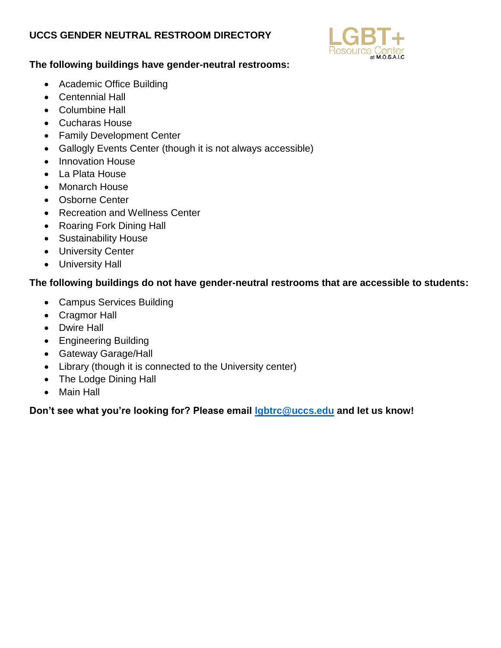## **UCCS GENDER NEUTRAL RESTROOM DIRECTORY**



## **The following buildings have gender-neutral restrooms:**

- Academic Office Building
- Centennial Hall
- Columbine Hall
- Cucharas House
- Family Development Center
- Gallogly Events Center (though it is not always accessible)
- Innovation House
- La Plata House
- Monarch House
- Osborne Center
- Recreation and Wellness Center
- Roaring Fork Dining Hall
- Sustainability House
- University Center
- University Hall

## **The following buildings do not have gender-neutral restrooms that are accessible to students:**

- Campus Services Building
- Cragmor Hall
- Dwire Hall
- Engineering Building
- Gateway Garage/Hall
- Library (though it is connected to the University center)
- The Lodge Dining Hall
- Main Hall

**Don't see what you're looking for? Please email [lgbtrc@uccs.edu](mailto:lgbtrc@uccs.edu) and let us know!**